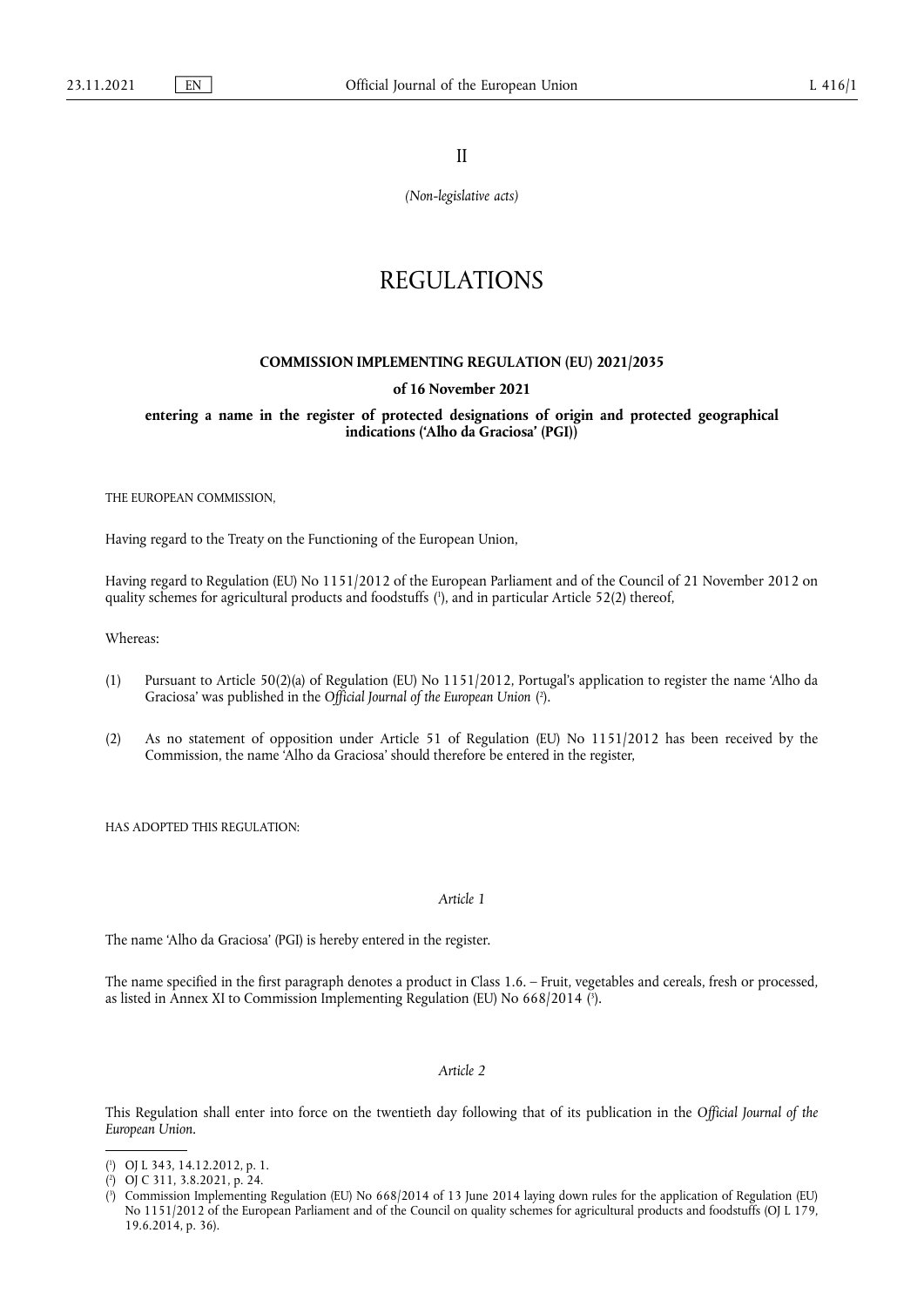II

*(Non-legislative acts)*

# REGULATIONS

## **COMMISSION IMPLEMENTING REGULATION (EU) 2021/2035**

### **of 16 November 2021**

**entering a name in the register of protected designations of origin and protected geographical indications ('Alho da Graciosa' (PGI))** 

THE EUROPEAN COMMISSION,

Having regard to the Treaty on the Functioning of the European Union,

<span id="page-0-3"></span>Having regard to Regulation (EU) No 1151/2012 of the European Parliament and of the Council of 21 November 2012 on quality schemes for agricultural products and foodstuffs ( 1 [\),](#page-0-0) and in particular Article 52(2) thereof,

Whereas:

- <span id="page-0-4"></span>(1) Pursuant to Article 50(2)(a) of Regulation (EU) No 1151/2012, Portugal's application to register the name 'Alho da Graciosa' was published in the *Official Journal of the European Union* ( 2 [\).](#page-0-1)
- (2) As no statement of opposition under Article 51 of Regulation (EU) No 1151/2012 has been received by the Commission, the name 'Alho da Graciosa' should therefore be entered in the register,

HAS ADOPTED THIS REGULATION:

#### *Article 1*

The name 'Alho da Graciosa' (PGI) is hereby entered in the register.

<span id="page-0-5"></span>The name specified in the first paragraph denotes a product in Class 1.6. – Fruit, vegetables and cereals, fresh or processed, as listed in Annex XI to Commission Implementing Regulation (EU) No 668/2014 ( 3 [\).](#page-0-2)

## *Article 2*

This Regulation shall enter into force on the twentieth day following that of its publication in the *Official Journal of the European Union*.

<span id="page-0-0"></span>[<sup>\(</sup>](#page-0-3) 1 ) OJ L 343, 14.12.2012, p. 1.

<span id="page-0-1"></span>[<sup>\(</sup>](#page-0-4) 2 ) OJ C 311, 3.8.2021, p. 24.

<span id="page-0-2"></span>[<sup>\(</sup>](#page-0-5) 3 ) Commission Implementing Regulation (EU) No 668/2014 of 13 June 2014 laying down rules for the application of Regulation (EU) No 1151/2012 of the European Parliament and of the Council on quality schemes for agricultural products and foodstuffs (OJ L 179, 19.6.2014, p. 36).